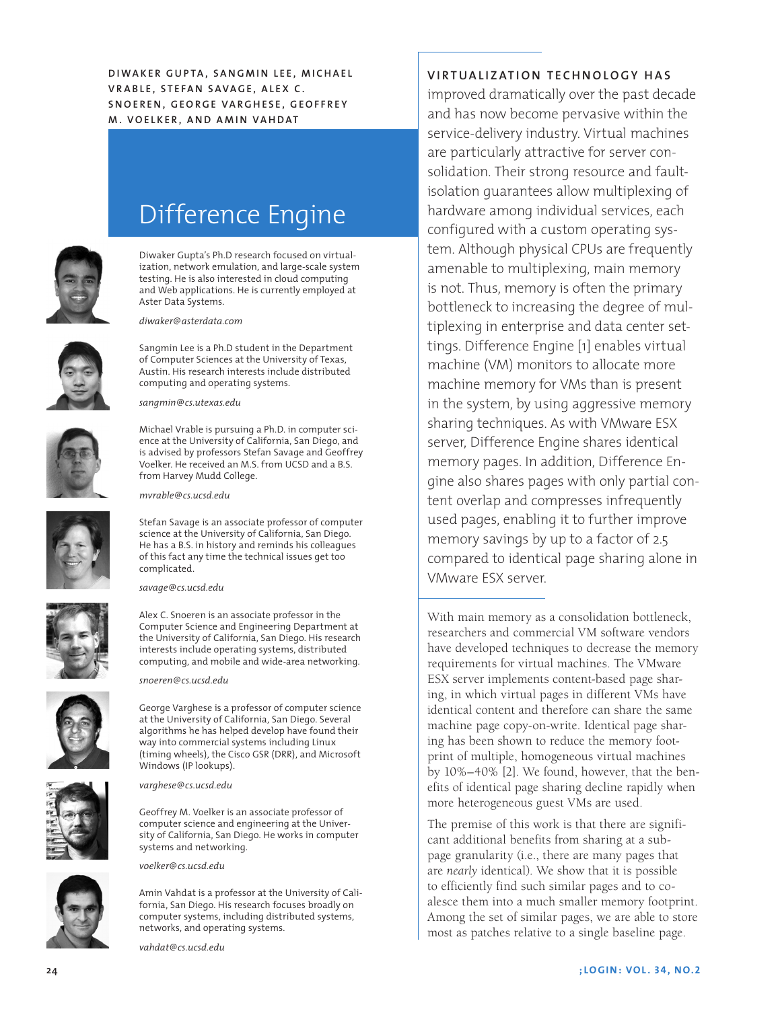**DIWAKER GUPTA, SANGMIN LEE, MICHAEL Vr a b l e , S t e fa n Sa v a g e , A l e x C . S n o e r e n , Ge o rg e Va rg h e s e , Ge o ffr e y M. Voelke r , and Am in Vahdat**



# Difference Engine

Diwaker Gupta's Ph.D research focused on virtualization, network emulation, and large-scale system testing. He is also interested in cloud computing and Web applications. He is currently employed at Aster Data Systems.

Sangmin Lee is a Ph.D student in the Department of Computer Sciences at the University of Texas,

Michael Vrable is pursuing a Ph.D. in computer science at the University of California, San Diego, and is advised by professors Stefan Savage and Geoffrey Voelker. He received an M.S. from UCSD and a B.S.

*diwaker@asterdata.com*



Austin. His research interests include distributed computing and operating systems. *sangmin@cs.utexas.edu*



*mvrable@cs.ucsd.edu*

from Harvey Mudd College.

Stefan Savage is an associate professor of computer science at the University of California, San Diego. He has a B.S. in history and reminds his colleagues of this fact any time the technical issues get too complicated.



*savage@cs.ucsd.edu*

Alex C. Snoeren is an associate professor in the Computer Science and Engineering Department at the University of California, San Diego. His research interests include operating systems, distributed computing, and mobile and wide-area networking.

*snoeren@cs.ucsd.edu*

George Varghese is a professor of computer science at the University of California, San Diego. Several algorithms he has helped develop have found their way into commercial systems including Linux (timing wheels), the Cisco GSR (DRR), and Microsoft Windows (IP lookups).



*varghese@cs.ucsd.edu*

Geoffrey M. Voelker is an associate professor of computer science and engineering at the University of California, San Diego. He works in computer systems and networking.

*voelker@cs.ucsd.edu*



Amin Vahdat is a professor at the University of California, San Diego. His research focuses broadly on computer systems, including distributed systems, networks, and operating systems.

*vahdat@cs.ucsd.edu*

**Vi rtual i zat io n techn o l o gy has**

improved dramatically over the past decade and has now become pervasive within the service-delivery industry. Virtual machines are particularly attractive for server consolidation. Their strong resource and faultisolation guarantees allow multiplexing of hardware among individual services, each configured with a custom operating system. Although physical CPUs are frequently amenable to multiplexing, main memory is not. Thus, memory is often the primary bottleneck to increasing the degree of multiplexing in enterprise and data center settings. Difference Engine [1] enables virtual machine (VM) monitors to allocate more machine memory for VMs than is present in the system, by using aggressive memory sharing techniques. As with VMware ESX server, Difference Engine shares identical memory pages. In addition, Difference Engine also shares pages with only partial content overlap and compresses infrequently used pages, enabling it to further improve memory savings by up to a factor of 2.5 compared to identical page sharing alone in VMware ESX server.

With main memory as a consolidation bottleneck, researchers and commercial VM software vendors have developed techniques to decrease the memory requirements for virtual machines. The VMware ESX server implements content-based page sharing, in which virtual pages in different VMs have identical content and therefore can share the same machine page copy-on-write. Identical page sharing has been shown to reduce the memory footprint of multiple, homogeneous virtual machines by 10%–40% [2]. We found, however, that the benefits of identical page sharing decline rapidly when more heterogeneous guest VMs are used.

The premise of this work is that there are significant additional benefits from sharing at a subpage granularity (i.e., there are many pages that are *nearly* identical). We show that it is possible to efficiently find such similar pages and to coalesce them into a much smaller memory footprint. Among the set of similar pages, we are able to store most as patches relative to a single baseline page.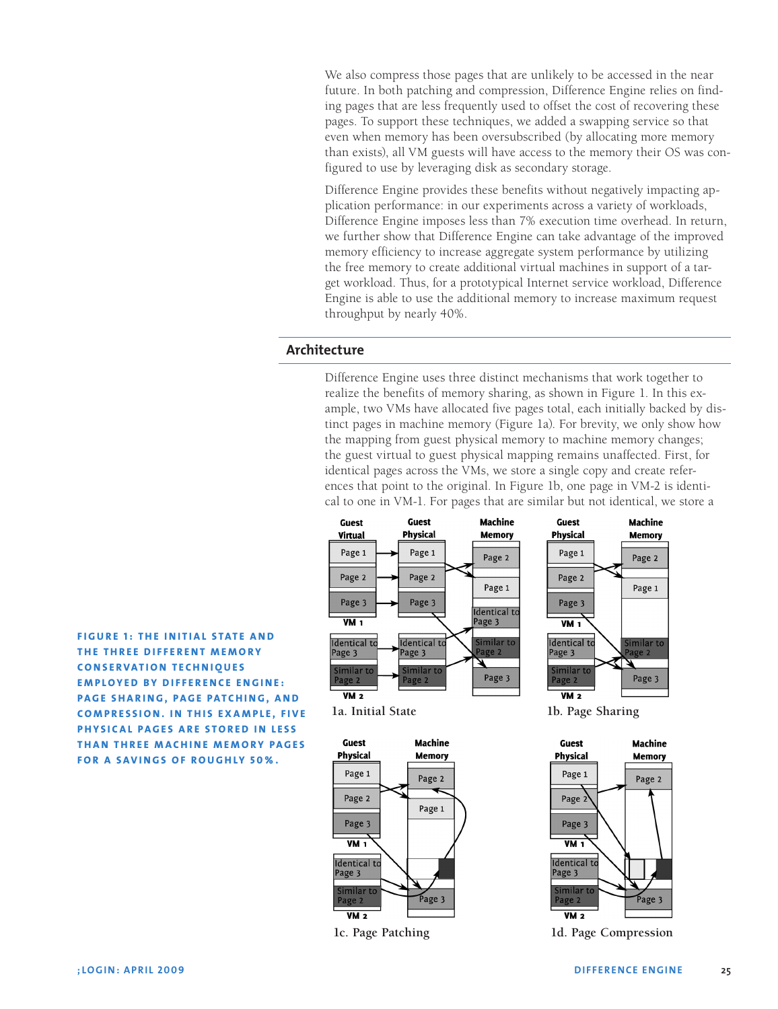We also compress those pages that are unlikely to be accessed in the near future. In both patching and compression, Difference Engine relies on finding pages that are less frequently used to offset the cost of recovering these pages. To support these techniques, we added a swapping service so that even when memory has been oversubscribed (by allocating more memory than exists), all VM guests will have access to the memory their OS was configured to use by leveraging disk as secondary storage.

Difference Engine provides these benefits without negatively impacting application performance: in our experiments across a variety of workloads, Difference Engine imposes less than 7% execution time overhead. In return, we further show that Difference Engine can take advantage of the improved memory efficiency to increase aggregate system performance by utilizing the free memory to create additional virtual machines in support of a target workload. Thus, for a prototypical Internet service workload, Difference Engine is able to use the additional memory to increase maximum request throughput by nearly 40%.

# **Architecture**

Difference Engine uses three distinct mechanisms that work together to realize the benefits of memory sharing, as shown in Figure 1. In this example, two VMs have allocated five pages total, each initially backed by distinct pages in machine memory (Figure 1a). For brevity, we only show how the mapping from guest physical memory to machine memory changes; the guest virtual to guest physical mapping remains unaffected. First, for identical pages across the VMs, we store a single copy and create references that point to the original. In Figure 1b, one page in VM-2 is identical to one in VM-1. For pages that are similar but not identical, we store a







**1c. Page Patching 1d. Page Compression**

 $\overline{VM2}$ 

**THE THREE DIFFERENT MEMORY c o n s e rvat i o n t e c h n i q u e s EMPLOYED BY DIFFERENCE ENGINE: PAGE SHARING, PAGE PATCHING, AND c o m p r e s s i o n . In t h i s e x a m p l e , f i v e PHYSICAL PAGES ARE STORED IN LESS THAN THREE MACHINE MEMORY PAGES fo r a sav ings of r o ughly 50%.**

**FIGURE 1: THE INITIAL STATE AND**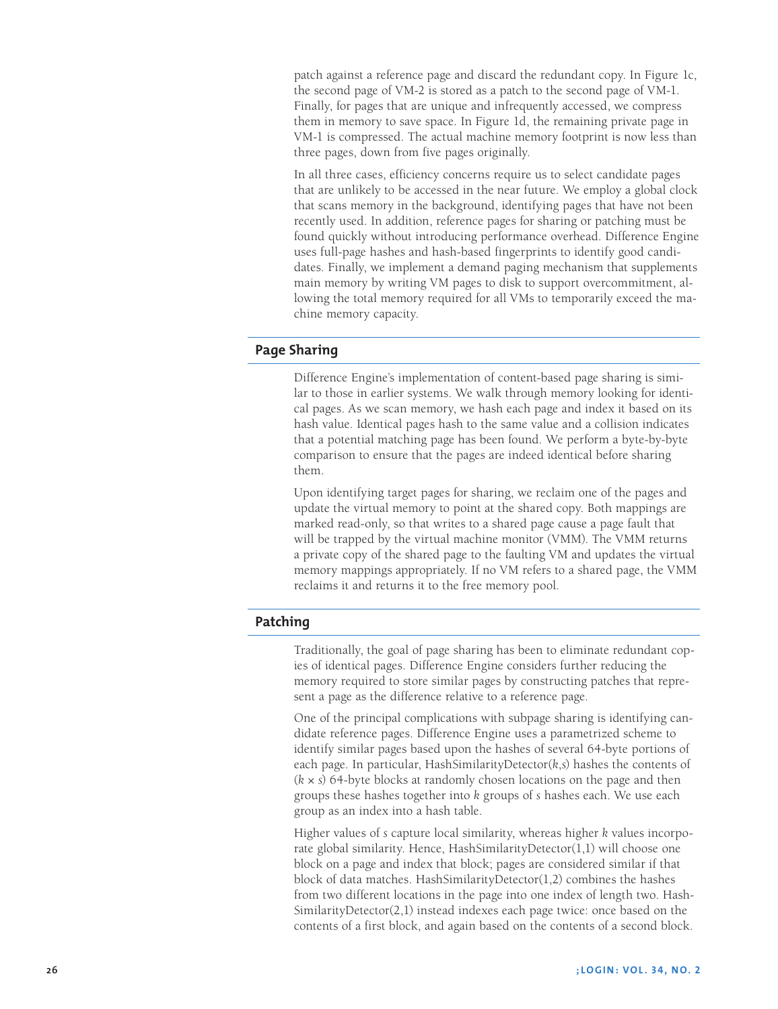patch against a reference page and discard the redundant copy. In Figure 1c, the second page of VM-2 is stored as a patch to the second page of VM-1. Finally, for pages that are unique and infrequently accessed, we compress them in memory to save space. In Figure 1d, the remaining private page in VM-1 is compressed. The actual machine memory footprint is now less than three pages, down from five pages originally.

In all three cases, efficiency concerns require us to select candidate pages that are unlikely to be accessed in the near future. We employ a global clock that scans memory in the background, identifying pages that have not been recently used. In addition, reference pages for sharing or patching must be found quickly without introducing performance overhead. Difference Engine uses full-page hashes and hash-based fingerprints to identify good candidates. Finally, we implement a demand paging mechanism that supplements main memory by writing VM pages to disk to support overcommitment, allowing the total memory required for all VMs to temporarily exceed the machine memory capacity.

## **Page Sharing**

Difference Engine's implementation of content-based page sharing is similar to those in earlier systems. We walk through memory looking for identical pages. As we scan memory, we hash each page and index it based on its hash value. Identical pages hash to the same value and a collision indicates that a potential matching page has been found. We perform a byte-by-byte comparison to ensure that the pages are indeed identical before sharing them.

Upon identifying target pages for sharing, we reclaim one of the pages and update the virtual memory to point at the shared copy. Both mappings are marked read-only, so that writes to a shared page cause a page fault that will be trapped by the virtual machine monitor (VMM). The VMM returns a private copy of the shared page to the faulting VM and updates the virtual memory mappings appropriately. If no VM refers to a shared page, the VMM reclaims it and returns it to the free memory pool.

## **Patching**

Traditionally, the goal of page sharing has been to eliminate redundant copies of identical pages. Difference Engine considers further reducing the memory required to store similar pages by constructing patches that represent a page as the difference relative to a reference page.

One of the principal complications with subpage sharing is identifying candidate reference pages. Difference Engine uses a parametrized scheme to identify similar pages based upon the hashes of several 64-byte portions of each page. In particular, HashSimilarityDetector(*k*,*s*) hashes the contents of (*k* × *s*) 64-byte blocks at randomly chosen locations on the page and then groups these hashes together into *k* groups of *s* hashes each. We use each group as an index into a hash table.

Higher values of *s* capture local similarity, whereas higher *k* values incorporate global similarity. Hence, HashSimilarityDetector(1,1) will choose one block on a page and index that block; pages are considered similar if that block of data matches. HashSimilarityDetector(1,2) combines the hashes from two different locations in the page into one index of length two. Hash-SimilarityDetector(2,1) instead indexes each page twice: once based on the contents of a first block, and again based on the contents of a second block.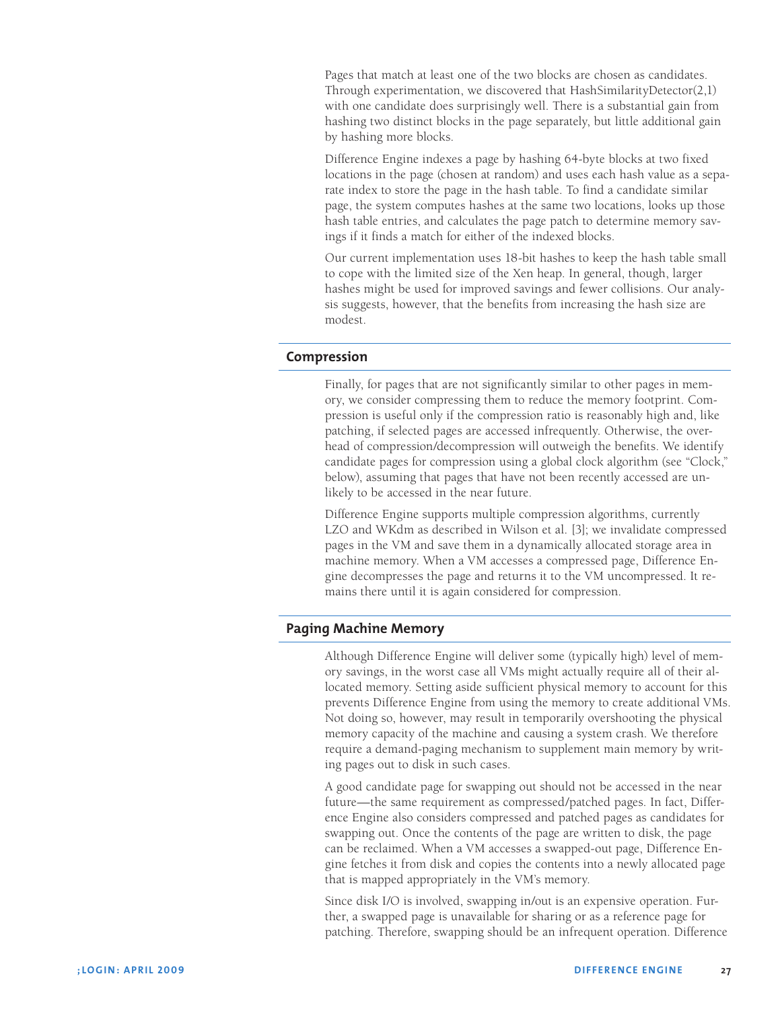Pages that match at least one of the two blocks are chosen as candidates. Through experimentation, we discovered that HashSimilarityDetector(2,1) with one candidate does surprisingly well. There is a substantial gain from hashing two distinct blocks in the page separately, but little additional gain by hashing more blocks.

Difference Engine indexes a page by hashing 64-byte blocks at two fixed locations in the page (chosen at random) and uses each hash value as a separate index to store the page in the hash table. To find a candidate similar page, the system computes hashes at the same two locations, looks up those hash table entries, and calculates the page patch to determine memory savings if it finds a match for either of the indexed blocks.

Our current implementation uses 18-bit hashes to keep the hash table small to cope with the limited size of the Xen heap. In general, though, larger hashes might be used for improved savings and fewer collisions. Our analysis suggests, however, that the benefits from increasing the hash size are modest.

## **Compression**

Finally, for pages that are not significantly similar to other pages in memory, we consider compressing them to reduce the memory footprint. Compression is useful only if the compression ratio is reasonably high and, like patching, if selected pages are accessed infrequently. Otherwise, the overhead of compression/decompression will outweigh the benefits. We identify candidate pages for compression using a global clock algorithm (see "Clock," below), assuming that pages that have not been recently accessed are unlikely to be accessed in the near future.

Difference Engine supports multiple compression algorithms, currently LZO and WKdm as described in Wilson et al. [3]; we invalidate compressed pages in the VM and save them in a dynamically allocated storage area in machine memory. When a VM accesses a compressed page, Difference Engine decompresses the page and returns it to the VM uncompressed. It remains there until it is again considered for compression.

## **Paging Machine Memory**

Although Difference Engine will deliver some (typically high) level of memory savings, in the worst case all VMs might actually require all of their allocated memory. Setting aside sufficient physical memory to account for this prevents Difference Engine from using the memory to create additional VMs. Not doing so, however, may result in temporarily overshooting the physical memory capacity of the machine and causing a system crash. We therefore require a demand-paging mechanism to supplement main memory by writing pages out to disk in such cases.

A good candidate page for swapping out should not be accessed in the near future—the same requirement as compressed/patched pages. In fact, Difference Engine also considers compressed and patched pages as candidates for swapping out. Once the contents of the page are written to disk, the page can be reclaimed. When a VM accesses a swapped-out page, Difference Engine fetches it from disk and copies the contents into a newly allocated page that is mapped appropriately in the VM's memory.

Since disk I/O is involved, swapping in/out is an expensive operation. Further, a swapped page is unavailable for sharing or as a reference page for patching. Therefore, swapping should be an infrequent operation. Difference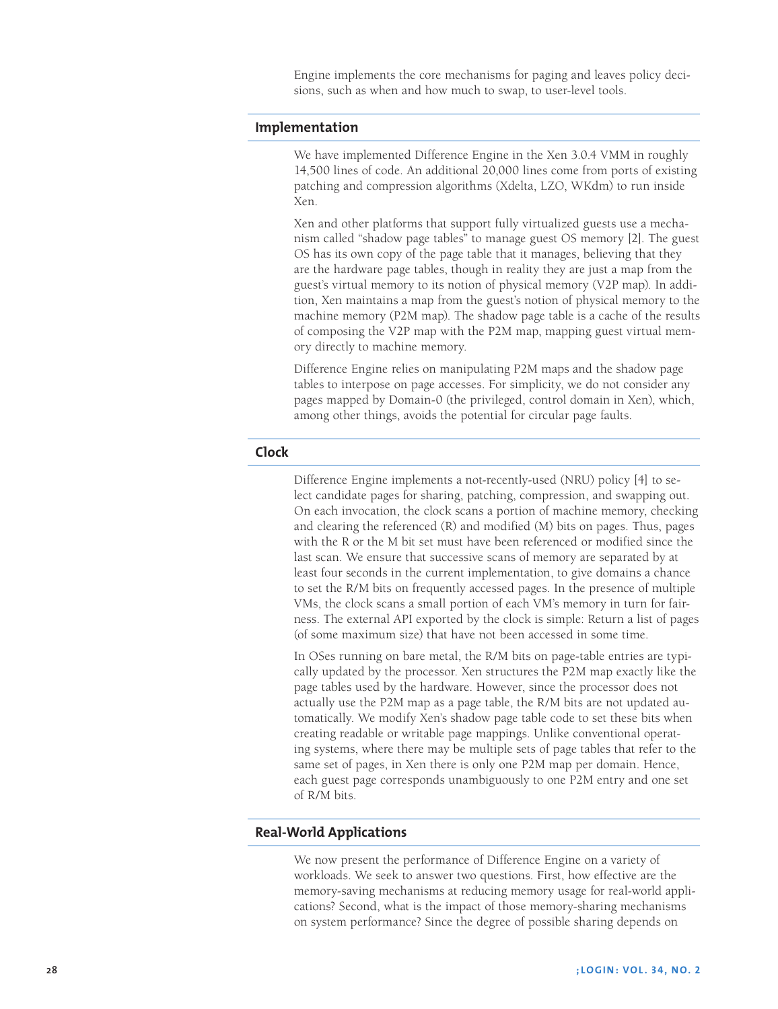Engine implements the core mechanisms for paging and leaves policy decisions, such as when and how much to swap, to user-level tools.

#### **Implementation**

We have implemented Difference Engine in the Xen 3.0.4 VMM in roughly 14,500 lines of code. An additional 20,000 lines come from ports of existing patching and compression algorithms (Xdelta, LZO, WKdm) to run inside Xen.

Xen and other platforms that support fully virtualized guests use a mechanism called "shadow page tables" to manage guest OS memory [2]. The guest OS has its own copy of the page table that it manages, believing that they are the hardware page tables, though in reality they are just a map from the guest's virtual memory to its notion of physical memory (V2P map). In addition, Xen maintains a map from the guest's notion of physical memory to the machine memory (P2M map). The shadow page table is a cache of the results of composing the V2P map with the P2M map, mapping guest virtual memory directly to machine memory.

Difference Engine relies on manipulating P2M maps and the shadow page tables to interpose on page accesses. For simplicity, we do not consider any pages mapped by Domain-0 (the privileged, control domain in Xen), which, among other things, avoids the potential for circular page faults.

# **Clock**

Difference Engine implements a not-recently-used (NRU) policy [4] to select candidate pages for sharing, patching, compression, and swapping out. On each invocation, the clock scans a portion of machine memory, checking and clearing the referenced (R) and modified (M) bits on pages. Thus, pages with the R or the M bit set must have been referenced or modified since the last scan. We ensure that successive scans of memory are separated by at least four seconds in the current implementation, to give domains a chance to set the R/M bits on frequently accessed pages. In the presence of multiple VMs, the clock scans a small portion of each VM's memory in turn for fairness. The external API exported by the clock is simple: Return a list of pages (of some maximum size) that have not been accessed in some time.

In OSes running on bare metal, the R/M bits on page-table entries are typically updated by the processor. Xen structures the P2M map exactly like the page tables used by the hardware. However, since the processor does not actually use the P2M map as a page table, the R/M bits are not updated automatically. We modify Xen's shadow page table code to set these bits when creating readable or writable page mappings. Unlike conventional operating systems, where there may be multiple sets of page tables that refer to the same set of pages, in Xen there is only one P2M map per domain. Hence, each guest page corresponds unambiguously to one P2M entry and one set of R/M bits.

#### **Real-World Applications**

We now present the performance of Difference Engine on a variety of workloads. We seek to answer two questions. First, how effective are the memory-saving mechanisms at reducing memory usage for real-world applications? Second, what is the impact of those memory-sharing mechanisms on system performance? Since the degree of possible sharing depends on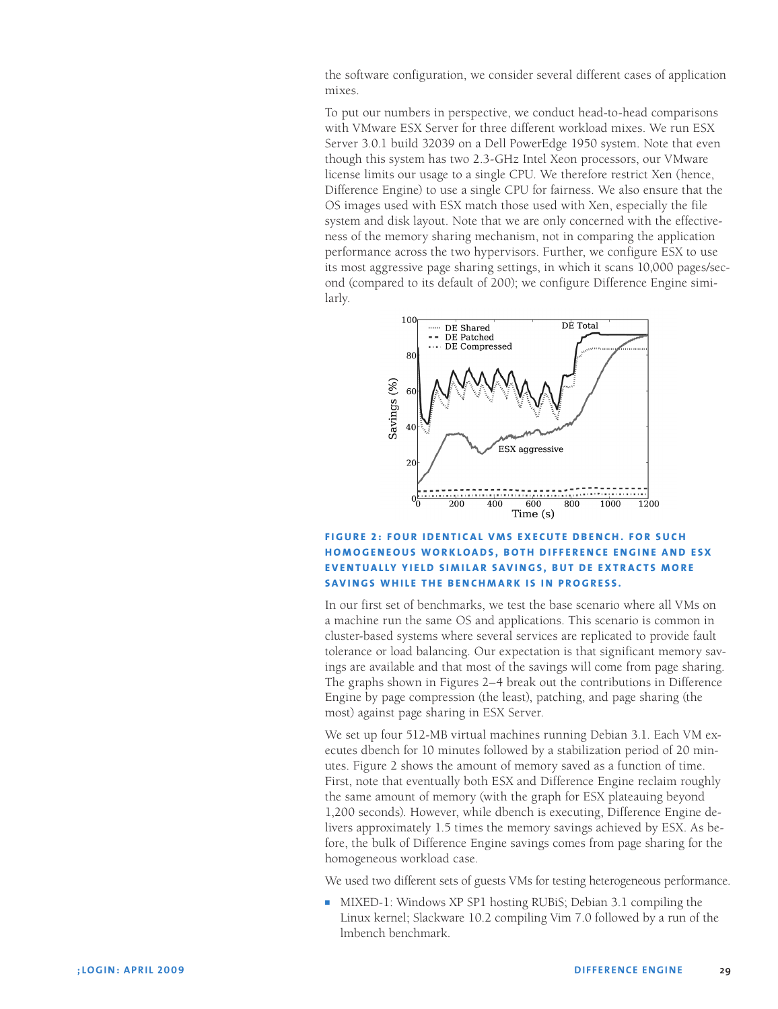the software configuration, we consider several different cases of application mixes.

To put our numbers in perspective, we conduct head-to-head comparisons with VMware ESX Server for three different workload mixes. We run ESX Server 3.0.1 build 32039 on a Dell PowerEdge 1950 system. Note that even though this system has two 2.3-GHz Intel Xeon processors, our VMware license limits our usage to a single CPU. We therefore restrict Xen (hence, Difference Engine) to use a single CPU for fairness. We also ensure that the OS images used with ESX match those used with Xen, especially the file system and disk layout. Note that we are only concerned with the effectiveness of the memory sharing mechanism, not in comparing the application performance across the two hypervisors. Further, we configure ESX to use its most aggressive page sharing settings, in which it scans 10,000 pages/second (compared to its default of 200); we configure Difference Engine similarly.



## **FIGURE 2: FOUR IDENTICAL VMS EXECUTE DBENCH. FOR SUCH h o m o gene o us wo r k loa ds, b o th Di ff erence Engine and ESX EVENTUALLY YIELD SIMILAR SAVINGS, BUT DE EXTRACTS MORE savings while the benchmark is in progress.**

In our first set of benchmarks, we test the base scenario where all VMs on a machine run the same OS and applications. This scenario is common in cluster-based systems where several services are replicated to provide fault tolerance or load balancing. Our expectation is that significant memory savings are available and that most of the savings will come from page sharing. The graphs shown in Figures 2–4 break out the contributions in Difference Engine by page compression (the least), patching, and page sharing (the most) against page sharing in ESX Server.

We set up four 512-MB virtual machines running Debian 3.1. Each VM executes dbench for 10 minutes followed by a stabilization period of 20 minutes. Figure 2 shows the amount of memory saved as a function of time. First, note that eventually both ESX and Difference Engine reclaim roughly the same amount of memory (with the graph for ESX plateauing beyond 1,200 seconds). However, while dbench is executing, Difference Engine delivers approximately 1.5 times the memory savings achieved by ESX. As before, the bulk of Difference Engine savings comes from page sharing for the homogeneous workload case.

We used two different sets of guests VMs for testing heterogeneous performance.

■ MIXED-1: Windows XP SP1 hosting RUBiS; Debian 3.1 compiling the Linux kernel; Slackware 10.2 compiling Vim 7.0 followed by a run of the lmbench benchmark.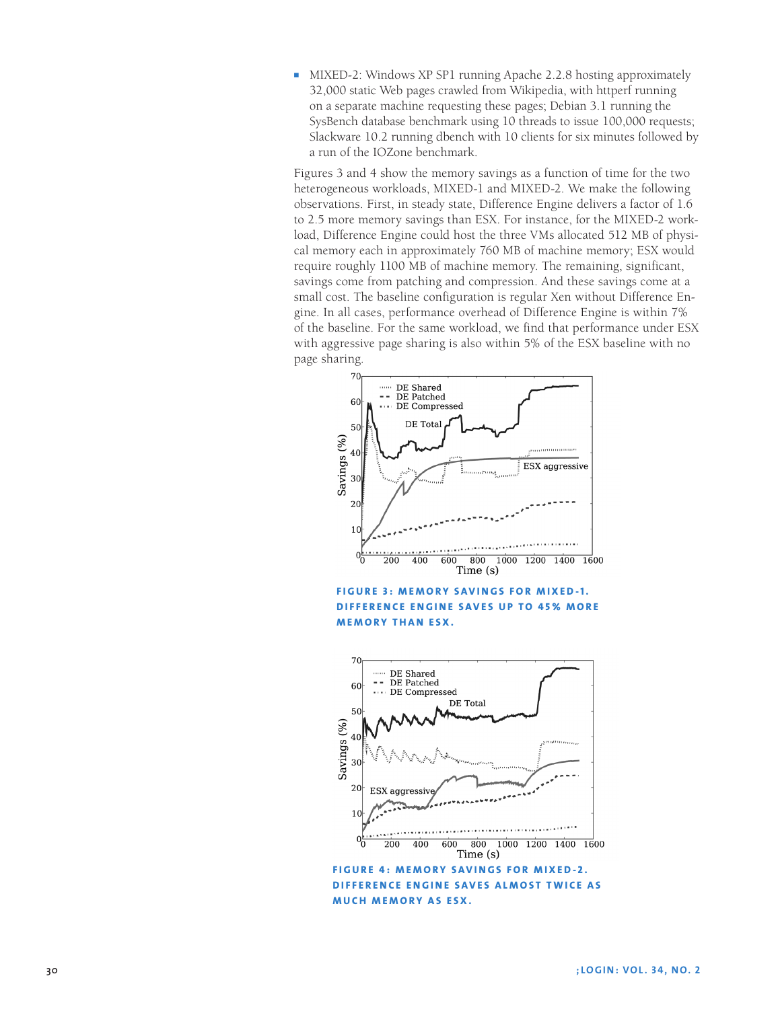■ MIXED-2: Windows XP SP1 running Apache 2.2.8 hosting approximately 32,000 static Web pages crawled from Wikipedia, with httperf running on a separate machine requesting these pages; Debian 3.1 running the SysBench database benchmark using 10 threads to issue 100,000 requests; Slackware 10.2 running dbench with 10 clients for six minutes followed by a run of the IOZone benchmark.

Figures 3 and 4 show the memory savings as a function of time for the two heterogeneous workloads, MIXED-1 and MIXED-2. We make the following observations. First, in steady state, Difference Engine delivers a factor of 1.6 to 2.5 more memory savings than ESX. For instance, for the MIXED-2 workload, Difference Engine could host the three VMs allocated 512 MB of physical memory each in approximately 760 MB of machine memory; ESX would require roughly 1100 MB of machine memory. The remaining, significant, savings come from patching and compression. And these savings come at a small cost. The baseline configuration is regular Xen without Difference Engine. In all cases, performance overhead of Difference Engine is within 7% of the baseline. For the same workload, we find that performance under ESX with aggressive page sharing is also within 5% of the ESX baseline with no page sharing.



**FIGURE 3: MEMORY SAVINGS FOR MIXED-1. DIFFERENCE ENGINE SAVES UP TO 45% MORE MEMORY THAN ESX.**